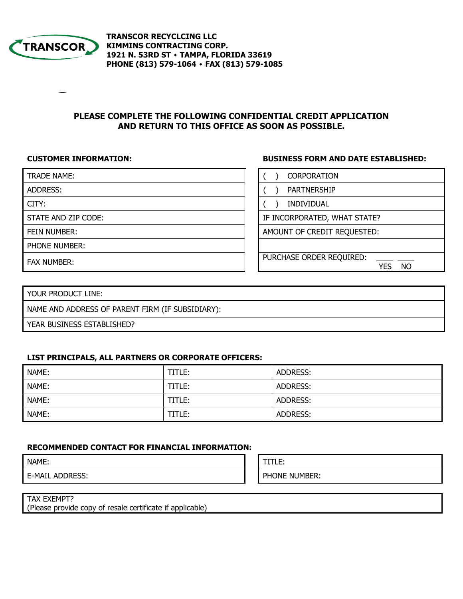

**TRANSCOR RECYCLCING LLC KIMMINS CONTRACTING CORP. 1921 N. 53RD ST ٠ TAMPA, FLORIDA 33619 PHONE (813) 579-1064 ٠ FAX (813) 579-1085**

# **PLEASE COMPLETE THE FOLLOWING CONFIDENTIAL CREDIT APPLICATION AND RETURN TO THIS OFFICE AS SOON AS POSSIBLE.**

# **CUSTOMER INFORMATION: BUSINESS FORM AND DATE ESTABLISHED:**

| <b>TRADE NAME:</b>  | <b>CORPORATION</b>                           |
|---------------------|----------------------------------------------|
| ADDRESS:            | <b>PARTNERSHIP</b>                           |
| CITY:               | <b>INDIVIDUAL</b>                            |
| STATE AND ZIP CODE: | IF INCORPORATED, WHAT STATE?                 |
| FEIN NUMBER:        | AMOUNT OF CREDIT REQUESTED:                  |
| PHONE NUMBER:       |                                              |
| <b>FAX NUMBER:</b>  | PURCHASE ORDER REQUIRED:<br><b>NO</b><br>YFS |

| YOUR PRODUCT LINE:                               |
|--------------------------------------------------|
| NAME AND ADDRESS OF PARENT FIRM (IF SUBSIDIARY): |
| YEAR BUSINESS ESTABLISHED?                       |

# **LIST PRINCIPALS, ALL PARTNERS OR CORPORATE OFFICERS:**

| NAME: | TITLE: | ADDRESS: |
|-------|--------|----------|
| NAME: | TITLE: | ADDRESS: |
| NAME: | TITLE: | ADDRESS: |
| NAME: | TITLE: | ADDRESS: |

# **RECOMMENDED CONTACT FOR FINANCIAL INFORMATION:**

| NAME:                  | -<br>┕<br>.   |
|------------------------|---------------|
| <b>E-MAIL ADDRESS:</b> | PHONE NUMBER: |
|                        |               |

| TAX EXEMPT?                                               |  |
|-----------------------------------------------------------|--|
| (Please provide copy of resale certificate if applicable) |  |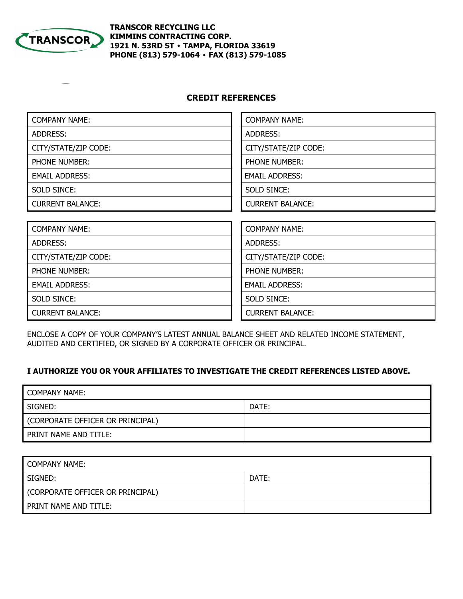

# **TRANSCOR RECYCLING LLC KIMMINS CONTRACTING CORP. 1921 N. 53RD ST ٠ TAMPA, FLORIDA 33619 PHONE (813) 579-1064 ٠ FAX (813) 579-1085**

# **CREDIT REFERENCES**

| <b>COMPANY NAME:</b>    | <b>COMPANY NAME:</b>    |
|-------------------------|-------------------------|
| ADDRESS:                | ADDRESS:                |
| CITY/STATE/ZIP CODE:    | CITY/STATE/ZIP CODE:    |
| <b>PHONE NUMBER:</b>    | <b>PHONE NUMBER:</b>    |
| <b>EMAIL ADDRESS:</b>   | <b>EMAIL ADDRESS:</b>   |
| SOLD SINCE:             | <b>SOLD SINCE:</b>      |
| <b>CURRENT BALANCE:</b> | <b>CURRENT BALANCE:</b> |
|                         |                         |
| <b>COMPANY NAME:</b>    | <b>COMPANY NAME:</b>    |
| ADDRESS:                | ADDRESS:                |
| CITY/STATE/ZIP CODE:    | CITY/STATE/ZIP CODE:    |
| PHONE NUMBER:           | PHONE NUMBER:           |
| <b>EMAIL ADDRESS:</b>   | <b>EMAIL ADDRESS:</b>   |
| <b>SOLD SINCE:</b>      | <b>SOLD SINCE:</b>      |
| <b>CURRENT BALANCE:</b> | <b>CURRENT BALANCE:</b> |

ENCLOSE A COPY OF YOUR COMPANY'S LATEST ANNUAL BALANCE SHEET AND RELATED INCOME STATEMENT, AUDITED AND CERTIFIED, OR SIGNED BY A CORPORATE OFFICER OR PRINCIPAL.

# **I AUTHORIZE YOU OR YOUR AFFILIATES TO INVESTIGATE THE CREDIT REFERENCES LISTED ABOVE.**

| COMPANY NAME:                    |       |
|----------------------------------|-------|
| SIGNED:                          | DATE: |
| (CORPORATE OFFICER OR PRINCIPAL) |       |
| PRINT NAME AND TITLE:            |       |

| COMPANY NAME:                    |       |
|----------------------------------|-------|
| SIGNED:                          | DATE: |
| (CORPORATE OFFICER OR PRINCIPAL) |       |
| PRINT NAME AND TITLE:            |       |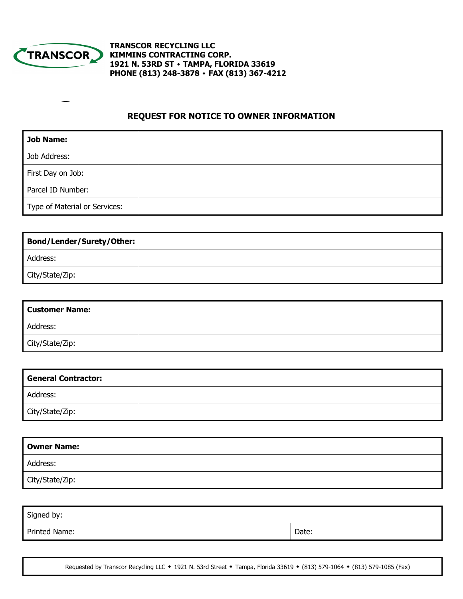

**TRANSCOR RECYCLING LLC KIMMINS CONTRACTING CORP. 1921 N. 53RD ST ٠ TAMPA, FLORIDA 33619 PHONE (813) 248-3878 ٠ FAX (813) 367-4212** 

# **REQUEST FOR NOTICE TO OWNER INFORMATION**

| Job Name:                     |  |
|-------------------------------|--|
| Job Address:                  |  |
| First Day on Job:             |  |
| Parcel ID Number:             |  |
| Type of Material or Services: |  |

| Bond/Lender/Surety/Other: |  |
|---------------------------|--|
| Address:                  |  |
| City/State/Zip:           |  |

| <b>Customer Name:</b> |  |
|-----------------------|--|
| Address:              |  |
| City/State/Zip:       |  |

| <b>General Contractor:</b> |  |
|----------------------------|--|
| Address:                   |  |
| City/State/Zip:            |  |

| <b>Owner Name:</b> |  |
|--------------------|--|
| Address:           |  |
| City/State/Zip:    |  |

| Signed by:    |       |
|---------------|-------|
| Printed Name: | Date: |

Requested by Transcor Recycling LLC **٠** 1921 N. 53rd Street **٠** Tampa, Florida 33619 **٠** (813) 579-1064 **٠** (813) 579-1085 (Fax)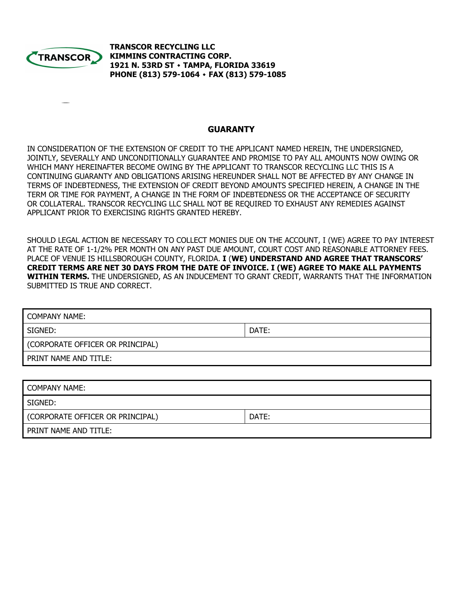

**TRANSCOR RECYCLING LLC KIMMINS CONTRACTING CORP. 1921 N. 53RD ST ٠ TAMPA, FLORIDA 33619 PHONE (813) 579-1064 ٠ FAX (813) 579-1085**

### **GUARANTY**

IN CONSIDERATION OF THE EXTENSION OF CREDIT TO THE APPLICANT NAMED HEREIN, THE UNDERSIGNED, JOINTLY, SEVERALLY AND UNCONDITIONALLY GUARANTEE AND PROMISE TO PAY ALL AMOUNTS NOW OWING OR WHICH MANY HEREINAFTER BECOME OWING BY THE APPLICANT TO TRANSCOR RECYCLING LLC THIS IS A CONTINUING GUARANTY AND OBLIGATIONS ARISING HEREUNDER SHALL NOT BE AFFECTED BY ANY CHANGE IN TERMS OF INDEBTEDNESS, THE EXTENSION OF CREDIT BEYOND AMOUNTS SPECIFIED HEREIN, A CHANGE IN THE TERM OR TIME FOR PAYMENT, A CHANGE IN THE FORM OF INDEBTEDNESS OR THE ACCEPTANCE OF SECURITY OR COLLATERAL. TRANSCOR RECYCLING LLC SHALL NOT BE REQUIRED TO EXHAUST ANY REMEDIES AGAINST APPLICANT PRIOR TO EXERCISING RIGHTS GRANTED HEREBY.

SHOULD LEGAL ACTION BE NECESSARY TO COLLECT MONIES DUE ON THE ACCOUNT, I (WE) AGREE TO PAY INTEREST AT THE RATE OF 1-1/2% PER MONTH ON ANY PAST DUE AMOUNT, COURT COST AND REASONABLE ATTORNEY FEES. PLACE OF VENUE IS HILLSBOROUGH COUNTY, FLORIDA. **I** (**WE) UNDERSTAND AND AGREE THAT TRANSCORS' CREDIT TERMS ARE NET 30 DAYS FROM THE DATE OF INVOICE. I (WE) AGREE TO MAKE ALL PAYMENTS WITHIN TERMS.** THE UNDERSIGNED, AS AN INDUCEMENT TO GRANT CREDIT, WARRANTS THAT THE INFORMATION SUBMITTED IS TRUE AND CORRECT.

| <b>COMPANY NAME:</b>             |       |  |
|----------------------------------|-------|--|
| SIGNED:                          | DATE: |  |
| (CORPORATE OFFICER OR PRINCIPAL) |       |  |
| PRINT NAME AND TITLE:            |       |  |
|                                  |       |  |
| <b>COMPANY NAME:</b>             |       |  |
| SIGNED:                          |       |  |

| (CORPORATE OFFICER OR PRINCIPAL) | DATE: |
|----------------------------------|-------|
|----------------------------------|-------|

PRINT NAME AND TITLE: